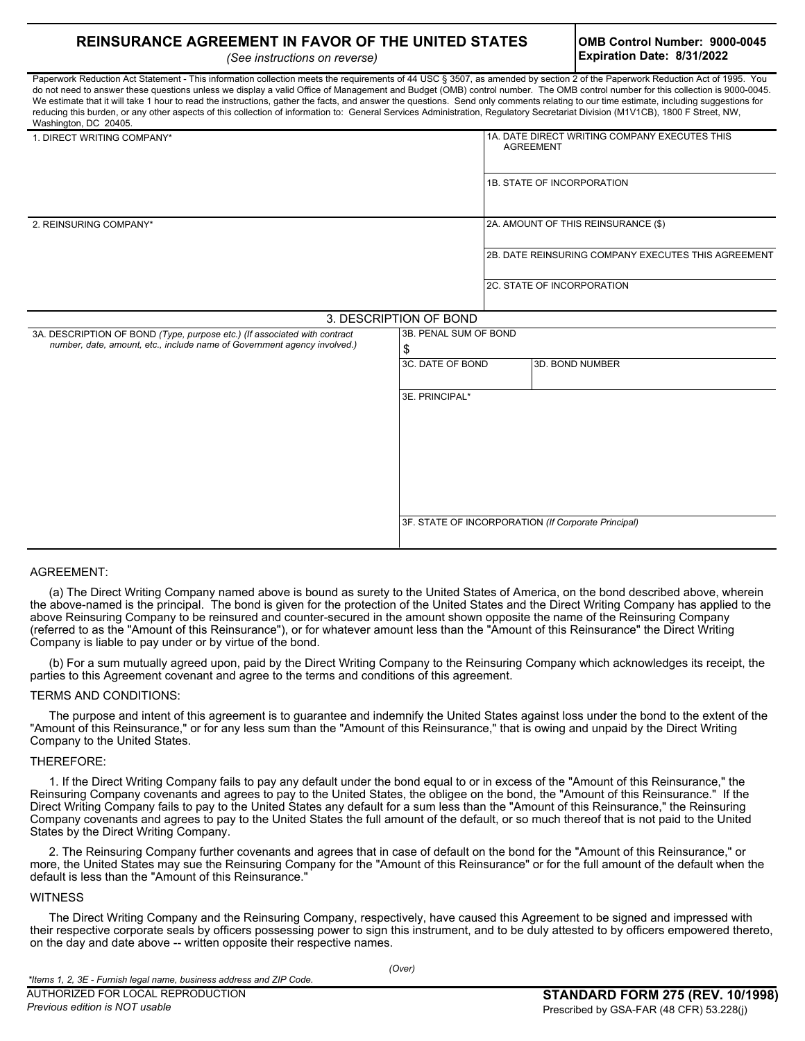## **REINSURANCE AGREEMENT IN FAVOR OF THE UNITED STATES**

*(See instructions on reverse)*

**OMB Control Number: 9000-0045 Expiration Date: 8/31/2022**

Paperwork Reduction Act Statement - This information collection meets the requirements of 44 USC § 3507, as amended by section 2 of the Paperwork Reduction Act of 1995. You do not need to answer these questions unless we display a valid Office of Management and Budget (OMB) control number. The OMB control number for this collection is 9000-0045. We estimate that it will take 1 hour to read the instructions, gather the facts, and answer the questions. Send only comments relating to our time estimate, including suggestions for reducing this burden, or any other aspects of this collection of information to: General Services Administration, Regulatory Secretariat Division (M1V1CB), 1800 F Street, NW, Washington, DC 20405.

| 1. DIRECT WRITING COMPANY*                                                                                                                            |                  | 1A. DATE DIRECT WRITING COMPANY EXECUTES THIS<br><b>AGREEMENT</b> |                                                     |  |
|-------------------------------------------------------------------------------------------------------------------------------------------------------|------------------|-------------------------------------------------------------------|-----------------------------------------------------|--|
|                                                                                                                                                       |                  | 1B. STATE OF INCORPORATION                                        |                                                     |  |
| 2. REINSURING COMPANY*                                                                                                                                |                  | 2A. AMOUNT OF THIS REINSURANCE (\$)                               |                                                     |  |
|                                                                                                                                                       |                  | 2B. DATE REINSURING COMPANY EXECUTES THIS AGREEMENT               |                                                     |  |
|                                                                                                                                                       |                  |                                                                   | 2C. STATE OF INCORPORATION                          |  |
| 3. DESCRIPTION OF BOND                                                                                                                                |                  |                                                                   |                                                     |  |
| 3A. DESCRIPTION OF BOND (Type, purpose etc.) (If associated with contract<br>number, date, amount, etc., include name of Government agency involved.) | \$               | 3B. PENAL SUM OF BOND                                             |                                                     |  |
|                                                                                                                                                       | 3C. DATE OF BOND |                                                                   | 3D. BOND NUMBER                                     |  |
|                                                                                                                                                       | 3E. PRINCIPAL*   |                                                                   |                                                     |  |
|                                                                                                                                                       |                  |                                                                   |                                                     |  |
|                                                                                                                                                       |                  |                                                                   |                                                     |  |
|                                                                                                                                                       |                  |                                                                   |                                                     |  |
|                                                                                                                                                       |                  |                                                                   | 3F. STATE OF INCORPORATION (If Corporate Principal) |  |

## AGREEMENT:

(a) The Direct Writing Company named above is bound as surety to the United States of America, on the bond described above, wherein the above-named is the principal. The bond is given for the protection of the United States and the Direct Writing Company has applied to the above Reinsuring Company to be reinsured and counter-secured in the amount shown opposite the name of the Reinsuring Company (referred to as the "Amount of this Reinsurance"), or for whatever amount less than the "Amount of this Reinsurance" the Direct Writing Company is liable to pay under or by virtue of the bond.

(b) For a sum mutually agreed upon, paid by the Direct Writing Company to the Reinsuring Company which acknowledges its receipt, the parties to this Agreement covenant and agree to the terms and conditions of this agreement.

#### TERMS AND CONDITIONS:

The purpose and intent of this agreement is to guarantee and indemnify the United States against loss under the bond to the extent of the "Amount of this Reinsurance," or for any less sum than the "Amount of this Reinsurance," that is owing and unpaid by the Direct Writing Company to the United States.

#### THEREFORE:

1. If the Direct Writing Company fails to pay any default under the bond equal to or in excess of the "Amount of this Reinsurance," the Reinsuring Company covenants and agrees to pay to the United States, the obligee on the bond, the "Amount of this Reinsurance." If the Direct Writing Company fails to pay to the United States any default for a sum less than the "Amount of this Reinsurance," the Reinsuring Company covenants and agrees to pay to the United States the full amount of the default, or so much thereof that is not paid to the United States by the Direct Writing Company.

2. The Reinsuring Company further covenants and agrees that in case of default on the bond for the "Amount of this Reinsurance," or more, the United States may sue the Reinsuring Company for the "Amount of this Reinsurance" or for the full amount of the default when the default is less than the "Amount of this Reinsurance."

## **WITNESS**

The Direct Writing Company and the Reinsuring Company, respectively, have caused this Agreement to be signed and impressed with their respective corporate seals by officers possessing power to sign this instrument, and to be duly attested to by officers empowered thereto, on the day and date above -- written opposite their respective names.

*\*Items 1, 2, 3E - Furnish legal name, business address and ZIP Code.*